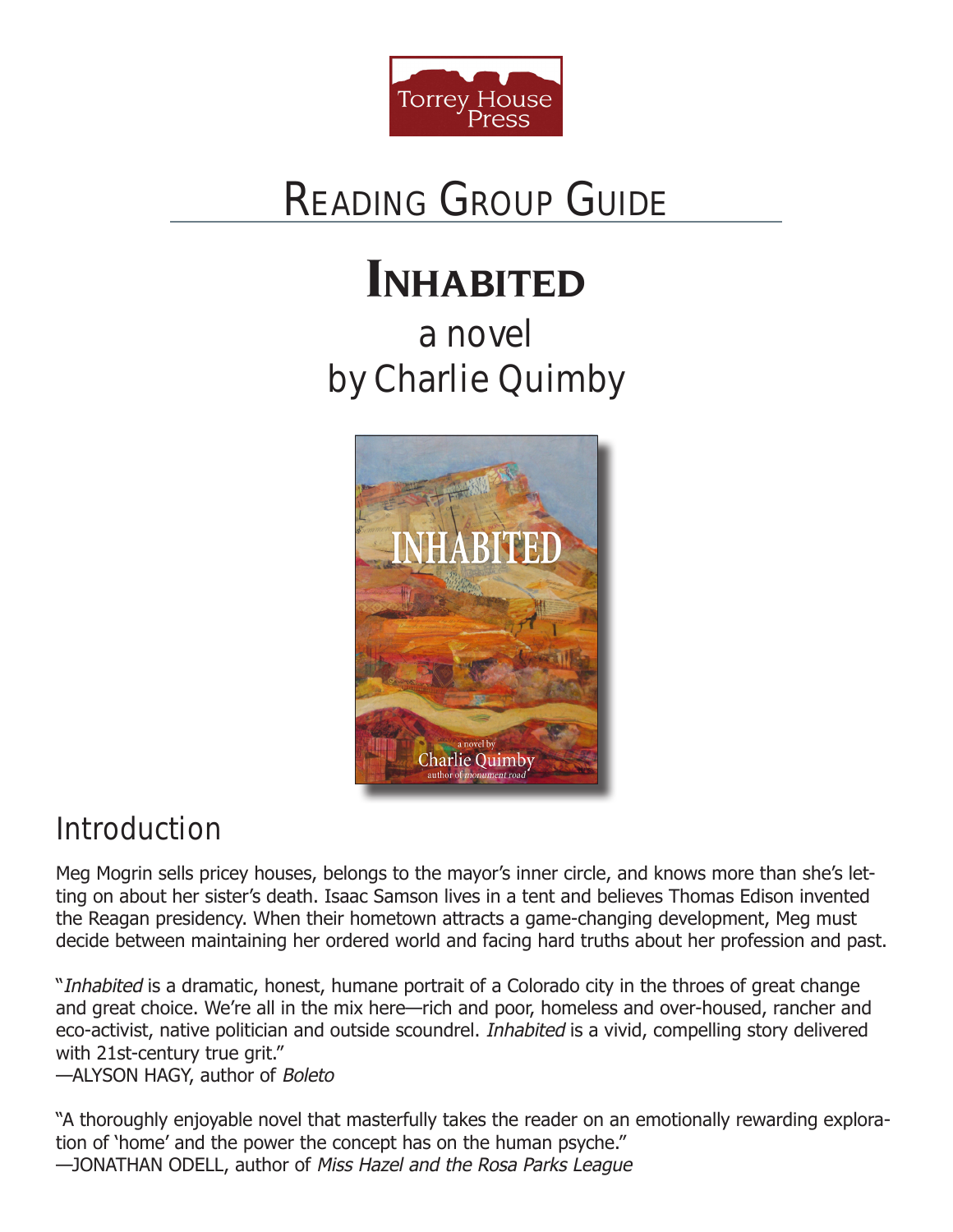

# READING GrOUP GUIDE

# **Inhabited**

a novel by Charlie Quimby



### **Introduction**

Meg Mogrin sells pricey houses, belongs to the mayor's inner circle, and knows more than she's letting on about her sister's death. Isaac Samson lives in a tent and believes Thomas Edison invented the Reagan presidency. When their hometown attracts a game-changing development, Meg must decide between maintaining her ordered world and facing hard truths about her profession and past.

"*Inhabited* is a dramatic, honest, humane portrait of a Colorado city in the throes of great change and great choice. We're all in the mix here—rich and poor, homeless and over-housed, rancher and eco-activist, native politician and outside scoundrel. *Inhabited* is a vivid, compelling story delivered with 21st-century true grit."

—ALYSON HAGY, author of *Boleto*

"A thoroughly enjoyable novel that masterfully takes the reader on an emotionally rewarding exploration of 'home' and the power the concept has on the human psyche." —JONATHAN ODELL, author of *Miss Hazel and the Rosa Parks League*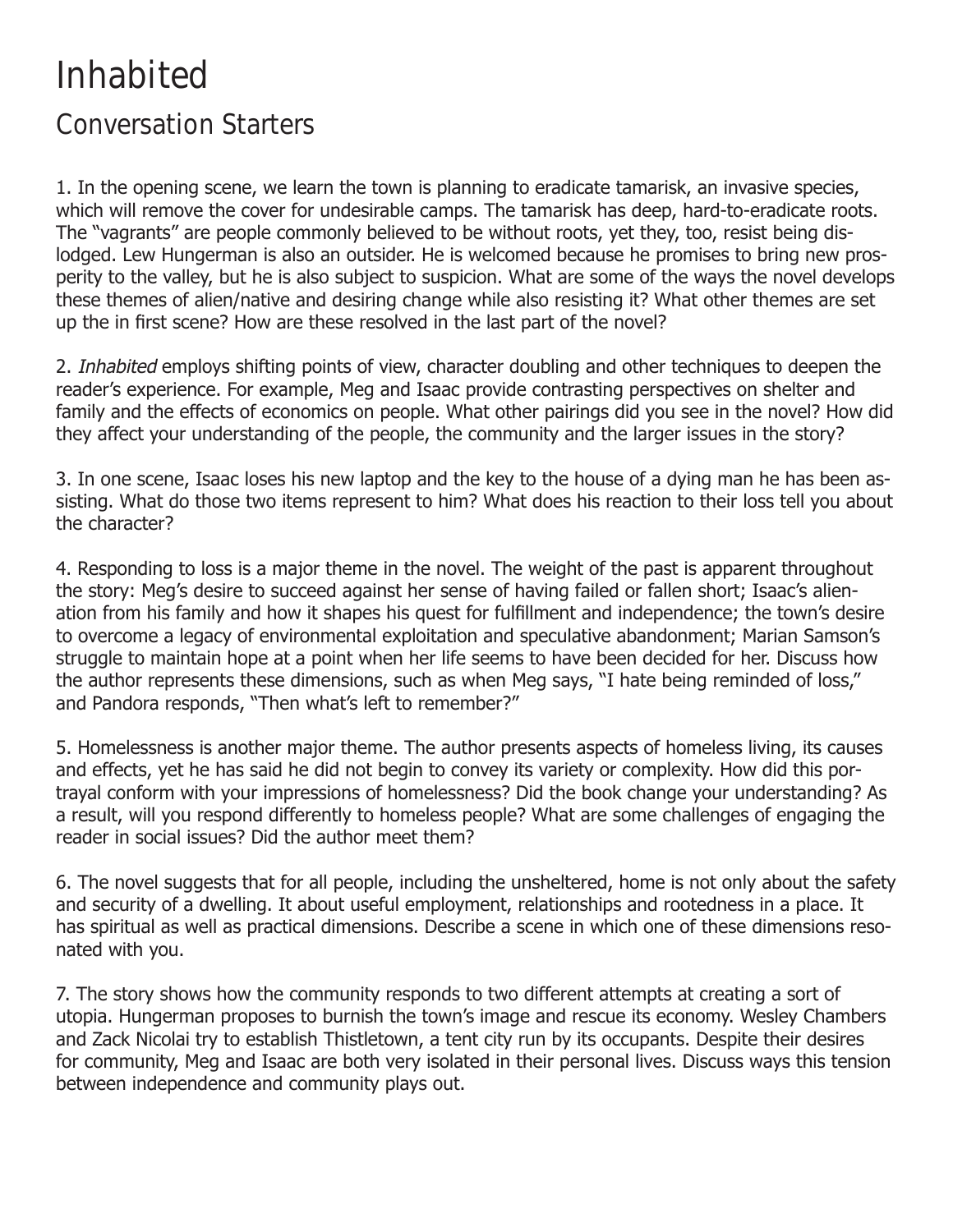## Inhabited

#### Conversation Starters

1. In the opening scene, we learn the town is planning to eradicate tamarisk, an invasive species, which will remove the cover for undesirable camps. The tamarisk has deep, hard-to-eradicate roots. The "vagrants" are people commonly believed to be without roots, yet they, too, resist being dislodged. Lew Hungerman is also an outsider. He is welcomed because he promises to bring new prosperity to the valley, but he is also subject to suspicion. What are some of the ways the novel develops these themes of alien/native and desiring change while also resisting it? What other themes are set up the in first scene? How are these resolved in the last part of the novel?

2. *Inhabited* employs shifting points of view, character doubling and other techniques to deepen the reader's experience. For example, Meg and Isaac provide contrasting perspectives on shelter and family and the effects of economics on people. What other pairings did you see in the novel? How did they affect your understanding of the people, the community and the larger issues in the story?

3. In one scene, Isaac loses his new laptop and the key to the house of a dying man he has been assisting. What do those two items represent to him? What does his reaction to their loss tell you about the character?

4. Responding to loss is a major theme in the novel. The weight of the past is apparent throughout the story: Meg's desire to succeed against her sense of having failed or fallen short; Isaac's alienation from his family and how it shapes his quest for fulfillment and independence; the town's desire to overcome a legacy of environmental exploitation and speculative abandonment; Marian Samson's struggle to maintain hope at a point when her life seems to have been decided for her. Discuss how the author represents these dimensions, such as when Meg says, "I hate being reminded of loss," and Pandora responds, "Then what's left to remember?"

5. Homelessness is another major theme. The author presents aspects of homeless living, its causes and effects, yet he has said he did not begin to convey its variety or complexity. How did this portrayal conform with your impressions of homelessness? Did the book change your understanding? As a result, will you respond differently to homeless people? What are some challenges of engaging the reader in social issues? Did the author meet them?

6. The novel suggests that for all people, including the unsheltered, home is not only about the safety and security of a dwelling. It about useful employment, relationships and rootedness in a place. It has spiritual as well as practical dimensions. Describe a scene in which one of these dimensions resonated with you.

7. The story shows how the community responds to two different attempts at creating a sort of utopia. Hungerman proposes to burnish the town's image and rescue its economy. Wesley Chambers and Zack Nicolai try to establish Thistletown, a tent city run by its occupants. Despite their desires for community, Meg and Isaac are both very isolated in their personal lives. Discuss ways this tension between independence and community plays out.